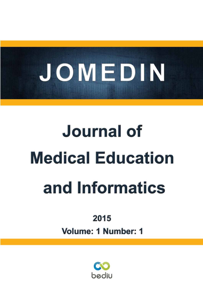

# **Journal of Medical Education** and Informatics

2015

Volume: 1 Number: 1

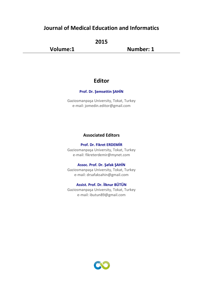# **Journal of Medical Education and Informatics**

**2015**

**Volume:1 Number: 1**

# **Editor**

## **Prof. Dr. Şemsettin ŞAHİN**

Gaziosmanpaşa University, Tokat, Turkey e-mail: jomedin.editor@gmail.com

# **Associated Editors**

#### **Prof. Dr. Fikret ERDEMİR**

Gaziosmanpaşa University, Tokat, Turkey e-mail: fikreterdemir@mynet.com

#### **Assoc. Prof. Dr. Şafak ŞAHİN**

Gaziosmanpaşa University, Tokat, Turkey e-mail: drsafaksahin@gmail.com

# **Assist. Prof. Dr. İlknur BÜTÜN**

Gaziosmanpaşa University, Tokat, Turkey e-mail: ibutun89@gmail.com

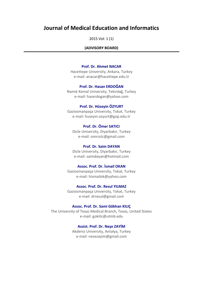# **Journal of Medical Education and Informatics**

2015 Vol: 1 (1)

#### **(ADVISORY BOARD)**

#### **Prof. Dr. Ahmet NACAR**

Hacettepe University, Ankara, Turkey e-mail: anacar@hacettepe.edu.tr

#### **Prof. Dr. Hasan ERDOĞAN**

Namık Kemal University, Tekirdağ, Turkey e-mail: haserdogan@yahoo.com

#### **Prof. Dr. Hüseyin ÖZYURT**

Gaziosmanpaşa University, Tokat, Turkey e-mail: huseyin.ozyurt@gop.edu.tr

**Prof. Dr. Ömer SATICI** Dicle University, Diyarbakır, Turkey e-mail: omrsstc@gmail.com

#### **Prof. Dr. Saim DAYAN**

Dicle University, Diyarbakır, Turkey e-mail: saimdayan@hotmail.com

## **Assoc. Prof. Dr. İsmail OKAN**

Gaziosmanpaşa University, Tokat, Turkey e-mail: hismailok@yahoo.com

**Assoc. Prof. Dr. Resul YILMAZ**

Gaziosmanpaşa University, Tokat, Turkey e-mail: drresul@gmail.com

#### **Assoc. Prof. Dr. Sami Gökhan KILIÇ**

The University of Texas Medical Branch, Texas, United States e-mail: gokilic@utmb.edu

## **Assist. Prof. Dr. Neşe ZAYİM**

Akdeniz University, Antalya, Turkey e-mail: nesezayim@gmail.com